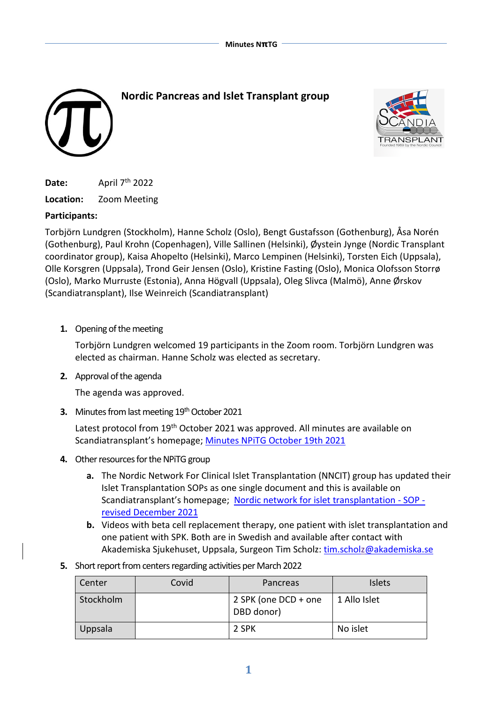



**Date:** April 7<sup>th</sup> 2022

**Location:** Zoom Meeting

# **Participants:**

Torbjörn Lundgren (Stockholm), Hanne Scholz (Oslo), Bengt Gustafsson (Gothenburg), Åsa Norén (Gothenburg), Paul Krohn (Copenhagen), Ville Sallinen (Helsinki), Øystein Jynge (Nordic Transplant coordinator group), Kaisa Ahopelto (Helsinki), Marco Lempinen (Helsinki), Torsten Eich (Uppsala), Olle Korsgren (Uppsala), Trond Geir Jensen (Oslo), Kristine Fasting (Oslo), Monica Olofsson Storrø (Oslo), Marko Murruste (Estonia), Anna Högvall (Uppsala), Oleg Slivca (Malmö), Anne Ørskov (Scandiatransplant), Ilse Weinreich (Scandiatransplant)

**1.** Opening of the meeting

Torbjörn Lundgren welcomed 19 participants in the Zoom room. Torbjörn Lundgren was elected as chairman. Hanne Scholz was elected as secretary.

**2.** Approval of the agenda

The agenda was approved.

**3.** Minutes from last meeting 19<sup>th</sup> October 2021

Latest protocol from 19<sup>th</sup> October 2021 was approved. All minutes are available on Scandiatransplant's homepage; Minutes NPITG October 19th 2021

- **4.** Other resources for the NPiTG group
	- **a.** The Nordic Network For Clinical Islet Transplantation (NNCIT) group has updated their Islet Transplantation SOPs as one single document and this is available on Scandiatransplant's homepage; [Nordic network for islet transplantation -](http://www.scandiatransplant.org/members/nordic-pancreas-group/database) SOP [revised December 2021](http://www.scandiatransplant.org/members/nordic-pancreas-group/database)
	- **b.** Videos with beta cell replacement therapy, one patient with islet transplantation and one patient with SPK. Both are in Swedish and available after contact with Akademiska Sjukehuset, Uppsala, Surgeon Tim Scholz: [tim.scholz@akademiska.se](mailto:tim.scholz@akademiska.se)
- **5.** Short report from centers regarding activities per March 2022

| Center    | Covid | Pancreas                           | <b>Islets</b> |
|-----------|-------|------------------------------------|---------------|
| Stockholm |       | 2 SPK (one DCD + one<br>DBD donor) | 1 Allo Islet  |
| Uppsala   |       | 2 SPK                              | No islet      |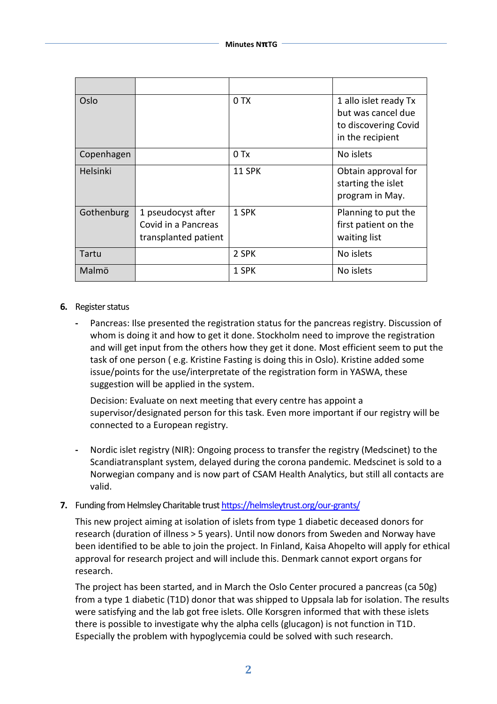| Oslo       |                                                                   | 0 TX   | 1 allo islet ready Tx<br>but was cancel due<br>to discovering Covid<br>in the recipient |
|------------|-------------------------------------------------------------------|--------|-----------------------------------------------------------------------------------------|
| Copenhagen |                                                                   | $0$ Tx | No islets                                                                               |
| Helsinki   |                                                                   | 11 SPK | Obtain approval for<br>starting the islet<br>program in May.                            |
| Gothenburg | 1 pseudocyst after<br>Covid in a Pancreas<br>transplanted patient | 1 SPK  | Planning to put the<br>first patient on the<br>waiting list                             |
| Tartu      |                                                                   | 2 SPK  | No islets                                                                               |
| Malmö      |                                                                   | 1 SPK  | No islets                                                                               |

#### **6.** Register status

**-** Pancreas: Ilse presented the registration status for the pancreas registry. Discussion of whom is doing it and how to get it done. Stockholm need to improve the registration and will get input from the others how they get it done. Most efficient seem to put the task of one person ( e.g. Kristine Fasting is doing this in Oslo). Kristine added some issue/points for the use/interpretate of the registration form in YASWA, these suggestion will be applied in the system.

Decision: Evaluate on next meeting that every centre has appoint a supervisor/designated person for this task. Even more important if our registry will be connected to a European registry.

**-** Nordic islet registry (NIR): Ongoing process to transfer the registry (Medscinet) to the Scandiatransplant system, delayed during the corona pandemic. Medscinet is sold to a Norwegian company and is now part of CSAM Health Analytics, but still all contacts are valid.

# **7.** Funding from Helmsley Charitable trust <https://helmsleytrust.org/our-grants/>

This new project aiming at isolation of islets from type 1 diabetic deceased donors for research (duration of illness > 5 years). Until now donors from Sweden and Norway have been identified to be able to join the project. In Finland, Kaisa Ahopelto will apply for ethical approval for research project and will include this. Denmark cannot export organs for research.

The project has been started, and in March the Oslo Center procured a pancreas (ca 50g) from a type 1 diabetic (T1D) donor that was shipped to Uppsala lab for isolation. The results were satisfying and the lab got free islets. Olle Korsgren informed that with these islets there is possible to investigate why the alpha cells (glucagon) is not function in T1D. Especially the problem with hypoglycemia could be solved with such research.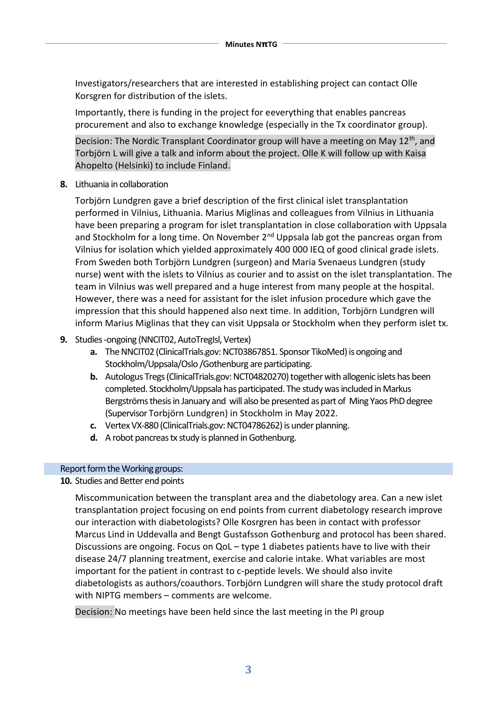Investigators/researchers that are interested in establishing project can contact Olle Korsgren for distribution of the islets.

Importantly, there is funding in the project for eeverything that enables pancreas procurement and also to exchange knowledge (especially in the Tx coordinator group).

Decision: The Nordic Transplant Coordinator group will have a meeting on May 12<sup>th</sup>, and Torbjörn L will give a talk and inform about the project. Olle K will follow up with Kaisa Ahopelto (Helsinki) to include Finland.

**8.** Lithuania in collaboration

Torbjörn Lundgren gave a brief description of the first clinical islet transplantation performed in Vilnius, Lithuania. Marius Miglinas and colleagues from Vilnius in Lithuania have been preparing a program for islet transplantation in close collaboration with Uppsala and Stockholm for a long time. On November  $2<sup>nd</sup>$  Uppsala lab got the pancreas organ from Vilnius for isolation which yielded approximately 400 000 IEQ of good clinical grade islets. From Sweden both Torbjörn Lundgren (surgeon) and Maria Svenaeus Lundgren (study nurse) went with the islets to Vilnius as courier and to assist on the islet transplantation. The team in Vilnius was well prepared and a huge interest from many people at the hospital. However, there was a need for assistant for the islet infusion procedure which gave the impression that this should happened also next time. In addition, Torbjörn Lundgren will inform Marius Miglinas that they can visit Uppsala or Stockholm when they perform islet tx.

### **9.** Studies -ongoing (NNCIT02, AutoTregIsl, Vertex)

- **a.** The NNCIT02 (ClinicalTrials.gov: NCT03867851. Sponsor TikoMed) is ongoing and Stockholm/Uppsala/Oslo /Gothenburg are participating.
- **b.** Autologus Tregs (ClinicalTrials.gov: NCT04820270) together with allogenic islets has been completed. Stockholm/Uppsala has participated. The study was included in Markus Bergströmsthesis in January and will also be presented as part of Ming Yaos PhD degree (Supervisor Torbjörn Lundgren) in Stockholm in May 2022.
- **c.** Vertex VX-880 (ClinicalTrials.gov: NCT04786262) is under planning.
- **d.** A robot pancreas tx study is planned in Gothenburg.

# Report form the Working groups:

# **10.** Studies and Better end points

Miscommunication between the transplant area and the diabetology area. Can a new islet transplantation project focusing on end points from current diabetology research improve our interaction with diabetologists? Olle Kosrgren has been in contact with professor Marcus Lind in Uddevalla and Bengt Gustafsson Gothenburg and protocol has been shared. Discussions are ongoing. Focus on QoL – type 1 diabetes patients have to live with their disease 24/7 planning treatment, exercise and calorie intake. What variables are most important for the patient in contrast to c-peptide levels. We should also invite diabetologists as authors/coauthors. Torbjörn Lundgren will share the study protocol draft with NIPTG members – comments are welcome.

Decision: No meetings have been held since the last meeting in the PI group